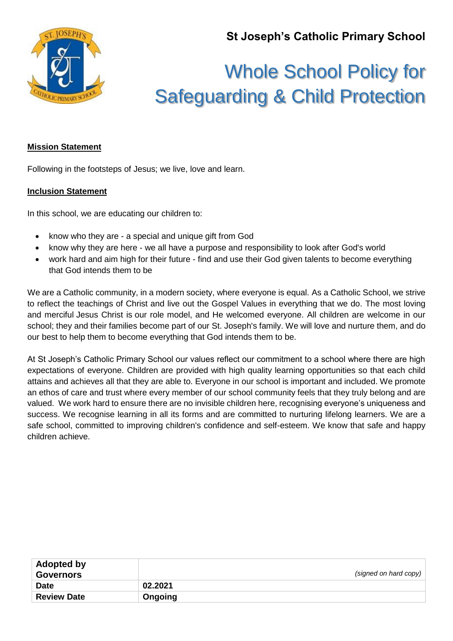**St Joseph's Catholic Primary School**



# Whole School Policy for Safeguarding & Child Protection

# **Mission Statement**

Following in the footsteps of Jesus; we live, love and learn.

## **Inclusion Statement**

In this school, we are educating our children to:

- know who they are a special and unique gift from God
- know why they are here we all have a purpose and responsibility to look after God's world
- work hard and aim high for their future find and use their God given talents to become everything that God intends them to be

We are a Catholic community, in a modern society, where everyone is equal. As a Catholic School, we strive to reflect the teachings of Christ and live out the Gospel Values in everything that we do. The most loving and merciful Jesus Christ is our role model, and He welcomed everyone. All children are welcome in our school; they and their families become part of our St. Joseph's family. We will love and nurture them, and do our best to help them to become everything that God intends them to be.

At St Joseph's Catholic Primary School our values reflect our commitment to a school where there are high expectations of everyone. Children are provided with high quality learning opportunities so that each child attains and achieves all that they are able to. Everyone in our school is important and included. We promote an ethos of care and trust where every member of our school community feels that they truly belong and are valued. We work hard to ensure there are no invisible children here, recognising everyone's uniqueness and success. We recognise learning in all its forms and are committed to nurturing lifelong learners. We are a safe school, committed to improving children's confidence and self-esteem. We know that safe and happy children achieve.

| <b>Adopted by</b><br><b>Governors</b> |         | (signed on hard copy) |
|---------------------------------------|---------|-----------------------|
| <b>Date</b>                           | 02.2021 |                       |
| <b>Review Date</b>                    | Ongoing |                       |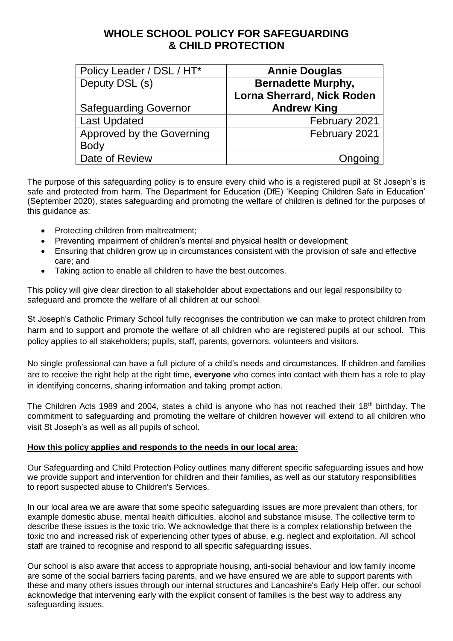# **WHOLE SCHOOL POLICY FOR SAFEGUARDING & CHILD PROTECTION**

| Policy Leader / DSL / HT*    | <b>Annie Douglas</b>              |
|------------------------------|-----------------------------------|
| Deputy DSL (s)               | <b>Bernadette Murphy,</b>         |
|                              | <b>Lorna Sherrard, Nick Roden</b> |
| <b>Safeguarding Governor</b> | <b>Andrew King</b>                |
| <b>Last Updated</b>          | February 2021                     |
| Approved by the Governing    | February 2021                     |
| <b>Body</b>                  |                                   |
| Date of Review               | Ongoing                           |

The purpose of this safeguarding policy is to ensure every child who is a registered pupil at St Joseph's is safe and protected from harm. The Department for Education (DfE) 'Keeping Children Safe in Education' (September 2020), states safeguarding and promoting the welfare of children is defined for the purposes of this guidance as:

- Protecting children from maltreatment:
- Preventing impairment of children's mental and physical health or development;
- Ensuring that children grow up in circumstances consistent with the provision of safe and effective care; and
- Taking action to enable all children to have the best outcomes.

This policy will give clear direction to all stakeholder about expectations and our legal responsibility to safeguard and promote the welfare of all children at our school.

St Joseph's Catholic Primary School fully recognises the contribution we can make to protect children from harm and to support and promote the welfare of all children who are registered pupils at our school. This policy applies to all stakeholders; pupils, staff, parents, governors, volunteers and visitors.

No single professional can have a full picture of a child's needs and circumstances. If children and families are to receive the right help at the right time, **everyone** who comes into contact with them has a role to play in identifying concerns, sharing information and taking prompt action.

The Children Acts 1989 and 2004, states a child is anyone who has not reached their 18<sup>th</sup> birthday. The commitment to safeguarding and promoting the welfare of children however will extend to all children who visit St Joseph's as well as all pupils of school.

#### **How this policy applies and responds to the needs in our local area:**

Our Safeguarding and Child Protection Policy outlines many different specific safeguarding issues and how we provide support and intervention for children and their families, as well as our statutory responsibilities to report suspected abuse to Children's Services.

In our local area we are aware that some specific safeguarding issues are more prevalent than others, for example domestic abuse, mental health difficulties, alcohol and substance misuse. The collective term to describe these issues is the toxic trio. We acknowledge that there is a complex relationship between the toxic trio and increased risk of experiencing other types of abuse, e.g. neglect and exploitation. All school staff are trained to recognise and respond to all specific safeguarding issues.

Our school is also aware that access to appropriate housing, anti-social behaviour and low family income are some of the social barriers facing parents, and we have ensured we are able to support parents with these and many others issues through our internal structures and Lancashire's Early Help offer, our school acknowledge that intervening early with the explicit consent of families is the best way to address any safeguarding issues.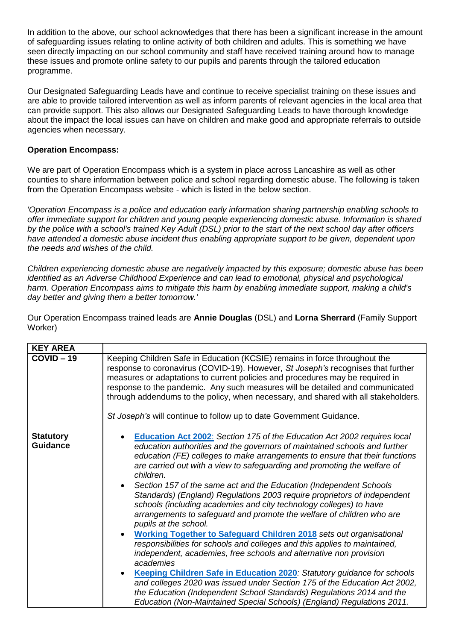In addition to the above, our school acknowledges that there has been a significant increase in the amount of safeguarding issues relating to online activity of both children and adults. This is something we have seen directly impacting on our school community and staff have received training around how to manage these issues and promote online safety to our pupils and parents through the tailored education programme.

Our Designated Safeguarding Leads have and continue to receive specialist training on these issues and are able to provide tailored intervention as well as inform parents of relevant agencies in the local area that can provide support. This also allows our Designated Safeguarding Leads to have thorough knowledge about the impact the local issues can have on children and make good and appropriate referrals to outside agencies when necessary.

## **Operation Encompass:**

We are part of Operation Encompass which is a system in place across Lancashire as well as other counties to share information between police and school regarding domestic abuse. The following is taken from the Operation Encompass website - which is listed in the below section.

*'Operation Encompass is a police and education early information sharing partnership enabling schools to offer immediate support for children and young people experiencing domestic abuse. Information is shared by the police with a school's trained Key Adult (DSL) prior to the start of the next school day after officers have attended a domestic abuse incident thus enabling appropriate support to be given, dependent upon the needs and wishes of the child.*

*Children experiencing domestic abuse are negatively impacted by this exposure; domestic abuse has been identified as an Adverse Childhood Experience and can lead to emotional, physical and psychological harm. Operation Encompass aims to mitigate this harm by enabling immediate support, making a child's day better and giving them a better tomorrow.'*

Our Operation Encompass trained leads are **Annie Douglas** (DSL) and **Lorna Sherrard** (Family Support Worker)

| <b>KEY AREA</b>                     |                                                                                                                                                                                                                                                                                                                                                                                                                                                                                                                                                                                                                                                                                                                                                                                                                                                                                                                                                                                                                                                                                                                                                                                                                                            |
|-------------------------------------|--------------------------------------------------------------------------------------------------------------------------------------------------------------------------------------------------------------------------------------------------------------------------------------------------------------------------------------------------------------------------------------------------------------------------------------------------------------------------------------------------------------------------------------------------------------------------------------------------------------------------------------------------------------------------------------------------------------------------------------------------------------------------------------------------------------------------------------------------------------------------------------------------------------------------------------------------------------------------------------------------------------------------------------------------------------------------------------------------------------------------------------------------------------------------------------------------------------------------------------------|
| $COVID - 19$                        | Keeping Children Safe in Education (KCSIE) remains in force throughout the<br>response to coronavirus (COVID-19). However, St Joseph's recognises that further<br>measures or adaptations to current policies and procedures may be required in<br>response to the pandemic. Any such measures will be detailed and communicated<br>through addendums to the policy, when necessary, and shared with all stakeholders.<br>St Joseph's will continue to follow up to date Government Guidance.                                                                                                                                                                                                                                                                                                                                                                                                                                                                                                                                                                                                                                                                                                                                              |
| <b>Statutory</b><br><b>Guidance</b> | Education Act 2002: Section 175 of the Education Act 2002 requires local<br>$\bullet$<br>education authorities and the governors of maintained schools and further<br>education (FE) colleges to make arrangements to ensure that their functions<br>are carried out with a view to safeguarding and promoting the welfare of<br>children.<br>Section 157 of the same act and the Education (Independent Schools<br>Standards) (England) Regulations 2003 require proprietors of independent<br>schools (including academies and city technology colleges) to have<br>arrangements to safeguard and promote the welfare of children who are<br>pupils at the school.<br><b>Working Together to Safeguard Children 2018</b> sets out organisational<br>responsibilities for schools and colleges and this applies to maintained,<br>independent, academies, free schools and alternative non provision<br>academies<br>Keeping Children Safe in Education 2020: Statutory guidance for schools<br>$\bullet$<br>and colleges 2020 was issued under Section 175 of the Education Act 2002,<br>the Education (Independent School Standards) Regulations 2014 and the<br>Education (Non-Maintained Special Schools) (England) Regulations 2011. |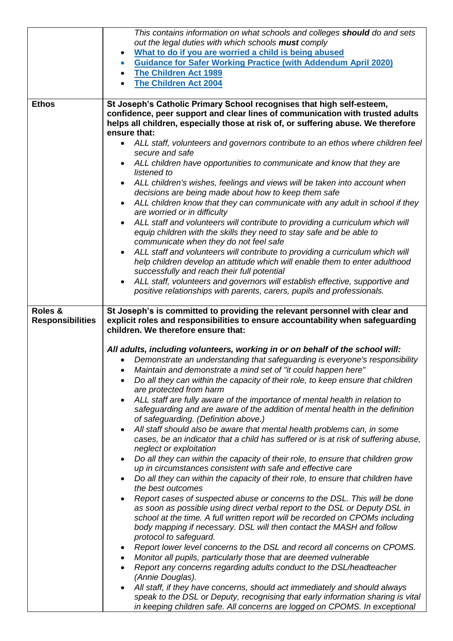|                                    | This contains information on what schools and colleges should do and sets                                                                                                                            |
|------------------------------------|------------------------------------------------------------------------------------------------------------------------------------------------------------------------------------------------------|
|                                    | out the legal duties with which schools must comply                                                                                                                                                  |
|                                    | What to do if you are worried a child is being abused<br>$\bullet$                                                                                                                                   |
|                                    | <b>Guidance for Safer Working Practice (with Addendum April 2020)</b><br>$\bullet$                                                                                                                   |
|                                    | <b>The Children Act 1989</b><br>$\bullet$                                                                                                                                                            |
|                                    | <b>The Children Act 2004</b>                                                                                                                                                                         |
| <b>Ethos</b>                       | St Joseph's Catholic Primary School recognises that high self-esteem,                                                                                                                                |
|                                    | confidence, peer support and clear lines of communication with trusted adults                                                                                                                        |
|                                    | helps all children, especially those at risk of, or suffering abuse. We therefore                                                                                                                    |
|                                    | ensure that:                                                                                                                                                                                         |
|                                    | • ALL staff, volunteers and governors contribute to an ethos where children feel                                                                                                                     |
|                                    | secure and safe                                                                                                                                                                                      |
|                                    | ALL children have opportunities to communicate and know that they are<br>listened to                                                                                                                 |
|                                    | ALL children's wishes, feelings and views will be taken into account when                                                                                                                            |
|                                    | decisions are being made about how to keep them safe                                                                                                                                                 |
|                                    | ALL children know that they can communicate with any adult in school if they<br>$\bullet$                                                                                                            |
|                                    | are worried or in difficulty                                                                                                                                                                         |
|                                    | ALL staff and volunteers will contribute to providing a curriculum which will                                                                                                                        |
|                                    | equip children with the skills they need to stay safe and be able to                                                                                                                                 |
|                                    | communicate when they do not feel safe                                                                                                                                                               |
|                                    | ALL staff and volunteers will contribute to providing a curriculum which will<br>$\bullet$<br>help children develop an attitude which will enable them to enter adulthood                            |
|                                    | successfully and reach their full potential                                                                                                                                                          |
|                                    | ALL staff, volunteers and governors will establish effective, supportive and<br>$\bullet$                                                                                                            |
|                                    | positive relationships with parents, carers, pupils and professionals.                                                                                                                               |
|                                    |                                                                                                                                                                                                      |
| Roles &<br><b>Responsibilities</b> | St Joseph's is committed to providing the relevant personnel with clear and<br>explicit roles and responsibilities to ensure accountability when safeguarding<br>children. We therefore ensure that: |
|                                    | All adults, including volunteers, working in or on behalf of the school will:                                                                                                                        |
|                                    | Demonstrate an understanding that safeguarding is everyone's responsibility                                                                                                                          |
|                                    | Maintain and demonstrate a mind set of "it could happen here"                                                                                                                                        |
|                                    | Do all they can within the capacity of their role, to keep ensure that children                                                                                                                      |
|                                    | are protected from harm                                                                                                                                                                              |
|                                    | ALL staff are fully aware of the importance of mental health in relation to<br>$\bullet$                                                                                                             |
|                                    | safeguarding and are aware of the addition of mental health in the definition                                                                                                                        |
|                                    | of safeguarding. (Definition above.)<br>All staff should also be aware that mental health problems can, in some<br>$\bullet$                                                                         |
|                                    | cases, be an indicator that a child has suffered or is at risk of suffering abuse,                                                                                                                   |
|                                    | neglect or exploitation                                                                                                                                                                              |
|                                    | Do all they can within the capacity of their role, to ensure that children grow<br>$\bullet$                                                                                                         |
|                                    | up in circumstances consistent with safe and effective care                                                                                                                                          |
|                                    | Do all they can within the capacity of their role, to ensure that children have                                                                                                                      |
|                                    | the best outcomes<br>Report cases of suspected abuse or concerns to the DSL. This will be done                                                                                                       |
|                                    | as soon as possible using direct verbal report to the DSL or Deputy DSL in                                                                                                                           |
|                                    | school at the time. A full written report will be recorded on CPOMs including                                                                                                                        |
|                                    | body mapping if necessary. DSL will then contact the MASH and follow                                                                                                                                 |
|                                    | protocol to safeguard.                                                                                                                                                                               |
|                                    | Report lower level concerns to the DSL and record all concerns on CPOMS.<br>٠                                                                                                                        |
|                                    | Monitor all pupils, particularly those that are deemed vulnerable<br>٠                                                                                                                               |
|                                    | Report any concerns regarding adults conduct to the DSL/headteacher                                                                                                                                  |
|                                    | (Annie Douglas).<br>All staff, if they have concerns, should act immediately and should always                                                                                                       |
|                                    | speak to the DSL or Deputy, recognising that early information sharing is vital                                                                                                                      |
|                                    | in keeping children safe. All concerns are logged on CPOMS. In exceptional                                                                                                                           |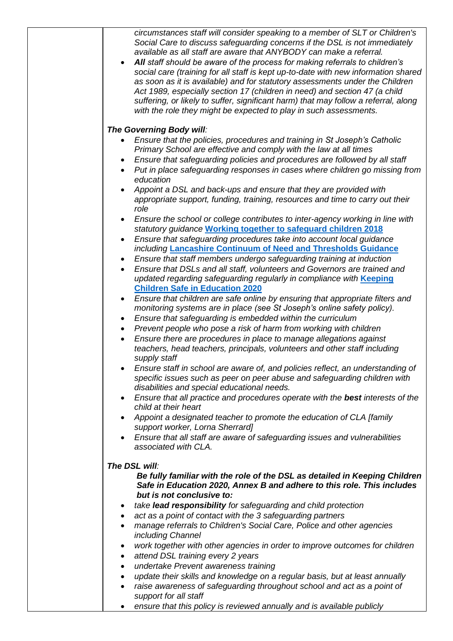*circumstances staff will consider speaking to a member of SLT or Children's Social Care to discuss safeguarding concerns if the DSL is not immediately available as all staff are aware that ANYBODY can make a referral.* 

 *All staff should be aware of the process for making referrals to children's social care (training for all staff is kept up-to-date with new information shared as soon as it is available) and for statutory assessments under the Children Act 1989, especially section 17 (children in need) and section 47 (a child suffering, or likely to suffer, significant harm) that may follow a referral, along with the role they might be expected to play in such assessments.* 

#### *The Governing Body will:*

- *Ensure that the policies, procedures and training in St Joseph's Catholic Primary School are effective and comply with the law at all times*
- *Ensure that safeguarding policies and procedures are followed by all staff*
- *Put in place safeguarding responses in cases where children go missing from education*
- *Appoint a DSL and back-ups and ensure that they are provided with appropriate support, funding, training, resources and time to carry out their role*
- *Ensure the school or college contributes to inter-agency working in line with statutory guidance* **[Working together to safeguard children](https://www.gov.uk/government/publications/working-together-to-safeguard-children--2) 2018**
- *Ensure that safeguarding procedures take into account local guidance including* **[Lancashire Continuum of Need and Thresholds Guidance](http://www.lancashiresafeguarding.org.uk/media/45811/LSCB-Thresholds-Guidance-Final-Oct-2018.pdf)**
- *Ensure that staff members undergo safeguarding training at induction*
- *Ensure that DSLs and all staff, volunteers and Governors are trained and updated regarding safeguarding regularly in compliance with* **[Keeping](https://assets.publishing.service.gov.uk/government/uploads/system/uploads/attachment_data/file/892394/Keeping_children_safe_in_education_2020.pdf)  [Children Safe in Education](https://assets.publishing.service.gov.uk/government/uploads/system/uploads/attachment_data/file/892394/Keeping_children_safe_in_education_2020.pdf) 2020**
- *Ensure that children are safe online by ensuring that appropriate filters and monitoring systems are in place (see St Joseph's online safety policy).*
- *Ensure that safeguarding is embedded within the curriculum*
- *Prevent people who pose a risk of harm from working with children*
- *Ensure there are procedures in place to manage allegations against teachers, head teachers, principals, volunteers and other staff including supply staff*
- *Ensure staff in school are aware of, and policies reflect, an understanding of specific issues such as peer on peer abuse and safeguarding children with disabilities and special educational needs.*
- *Ensure that all practice and procedures operate with the best interests of the child at their heart*
- *Appoint a designated teacher to promote the education of CLA [family support worker, Lorna Sherrard]*
- *Ensure that all staff are aware of safeguarding issues and vulnerabilities associated with CLA.*

#### *The DSL will:*

*Be fully familiar with the role of the DSL as detailed in Keeping Children Safe in Education 2020, Annex B and adhere to this role. This includes but is not conclusive to:*

- *take lead responsibility for safeguarding and child protection*
- *act as a point of contact with the 3 safeguarding partners*
- *manage referrals to Children's Social Care, Police and other agencies including Channel*
- *work together with other agencies in order to improve outcomes for children*
- *attend DSL training every 2 years*
- *undertake Prevent awareness training*
- *update their skills and knowledge on a regular basis, but at least annually*
- *raise awareness of safeguarding throughout school and act as a point of support for all staff*
- *ensure that this policy is reviewed annually and is available publicly*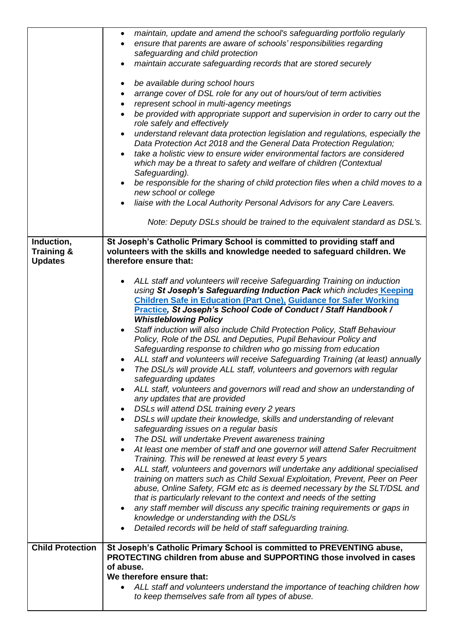|                                                       | maintain, update and amend the school's safeguarding portfolio regularly<br>$\bullet$<br>ensure that parents are aware of schools' responsibilities regarding<br>safeguarding and child protection<br>maintain accurate safeguarding records that are stored securely<br>be available during school hours<br>arrange cover of DSL role for any out of hours/out of term activities<br>$\bullet$<br>represent school in multi-agency meetings<br>$\bullet$<br>be provided with appropriate support and supervision in order to carry out the<br>$\bullet$<br>role safely and effectively<br>understand relevant data protection legislation and regulations, especially the<br>$\bullet$<br>Data Protection Act 2018 and the General Data Protection Regulation;<br>take a holistic view to ensure wider environmental factors are considered<br>which may be a threat to safety and welfare of children (Contextual<br>Safeguarding).<br>be responsible for the sharing of child protection files when a child moves to a<br>$\bullet$<br>new school or college<br>liaise with the Local Authority Personal Advisors for any Care Leavers.<br>$\bullet$                                                                                                                                                                                                                                                                                                                                                                                                                                                                                                                                                                                                                                 |
|-------------------------------------------------------|-----------------------------------------------------------------------------------------------------------------------------------------------------------------------------------------------------------------------------------------------------------------------------------------------------------------------------------------------------------------------------------------------------------------------------------------------------------------------------------------------------------------------------------------------------------------------------------------------------------------------------------------------------------------------------------------------------------------------------------------------------------------------------------------------------------------------------------------------------------------------------------------------------------------------------------------------------------------------------------------------------------------------------------------------------------------------------------------------------------------------------------------------------------------------------------------------------------------------------------------------------------------------------------------------------------------------------------------------------------------------------------------------------------------------------------------------------------------------------------------------------------------------------------------------------------------------------------------------------------------------------------------------------------------------------------------------------------------------------------------------------------------------------------------|
|                                                       | Note: Deputy DSLs should be trained to the equivalent standard as DSL's.                                                                                                                                                                                                                                                                                                                                                                                                                                                                                                                                                                                                                                                                                                                                                                                                                                                                                                                                                                                                                                                                                                                                                                                                                                                                                                                                                                                                                                                                                                                                                                                                                                                                                                                |
| Induction,<br><b>Training &amp;</b><br><b>Updates</b> | St Joseph's Catholic Primary School is committed to providing staff and<br>volunteers with the skills and knowledge needed to safeguard children. We<br>therefore ensure that:                                                                                                                                                                                                                                                                                                                                                                                                                                                                                                                                                                                                                                                                                                                                                                                                                                                                                                                                                                                                                                                                                                                                                                                                                                                                                                                                                                                                                                                                                                                                                                                                          |
|                                                       | ALL staff and volunteers will receive Safeguarding Training on induction<br>using St Joseph's Safeguarding Induction Pack which includes Keeping<br><b>Children Safe in Education (Part One), Guidance for Safer Working</b><br>Practice, St Joseph's School Code of Conduct / Staff Handbook /<br><b>Whistleblowing Policy</b><br>Staff induction will also include Child Protection Policy, Staff Behaviour<br>$\bullet$<br>Policy, Role of the DSL and Deputies, Pupil Behaviour Policy and<br>Safeguarding response to children who go missing from education<br>ALL staff and volunteers will receive Safeguarding Training (at least) annually<br>The DSL/s will provide ALL staff, volunteers and governors with regular<br>safeguarding updates<br>ALL staff, volunteers and governors will read and show an understanding of<br>any updates that are provided<br>DSLs will attend DSL training every 2 years<br>DSLs will update their knowledge, skills and understanding of relevant<br>safeguarding issues on a regular basis<br>The DSL will undertake Prevent awareness training<br>٠<br>At least one member of staff and one governor will attend Safer Recruitment<br>Training. This will be renewed at least every 5 years<br>ALL staff, volunteers and governors will undertake any additional specialised<br>$\bullet$<br>training on matters such as Child Sexual Exploitation, Prevent, Peer on Peer<br>abuse, Online Safety, FGM etc as is deemed necessary by the SLT/DSL and<br>that is particularly relevant to the context and needs of the setting<br>any staff member will discuss any specific training requirements or gaps in<br>$\bullet$<br>knowledge or understanding with the DSL/s<br>Detailed records will be held of staff safeguarding training. |
| <b>Child Protection</b>                               | St Joseph's Catholic Primary School is committed to PREVENTING abuse,<br>PROTECTING children from abuse and SUPPORTING those involved in cases<br>of abuse.<br>We therefore ensure that:<br>ALL staff and volunteers understand the importance of teaching children how<br>to keep themselves safe from all types of abuse.                                                                                                                                                                                                                                                                                                                                                                                                                                                                                                                                                                                                                                                                                                                                                                                                                                                                                                                                                                                                                                                                                                                                                                                                                                                                                                                                                                                                                                                             |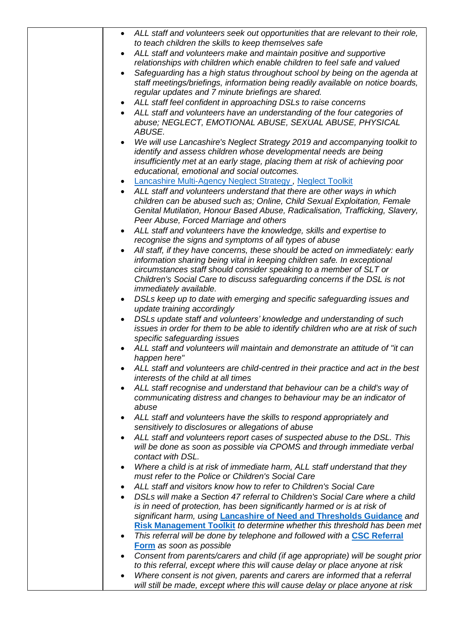| ALL staff and volunteers seek out opportunities that are relevant to their role,                                                    |
|-------------------------------------------------------------------------------------------------------------------------------------|
| to teach children the skills to keep themselves safe                                                                                |
| ALL staff and volunteers make and maintain positive and supportive<br>$\bullet$                                                     |
| relationships with children which enable children to feel safe and valued                                                           |
| Safeguarding has a high status throughout school by being on the agenda at                                                          |
| staff meetings/briefings, information being readily available on notice boards,                                                     |
| regular updates and 7 minute briefings are shared.                                                                                  |
| ALL staff feel confident in approaching DSLs to raise concerns<br>$\bullet$                                                         |
| ALL staff and volunteers have an understanding of the four categories of<br>abuse; NEGLECT, EMOTIONAL ABUSE, SEXUAL ABUSE, PHYSICAL |
| <b>ABUSE.</b>                                                                                                                       |
| We will use Lancashire's Neglect Strategy 2019 and accompanying toolkit to                                                          |
| identify and assess children whose developmental needs are being                                                                    |
| insufficiently met at an early stage, placing them at risk of achieving poor                                                        |
| educational, emotional and social outcomes.                                                                                         |
| Lancashire Multi-Agency Neglect Strategy, Neglect Toolkit<br>$\bullet$                                                              |
| ALL staff and volunteers understand that there are other ways in which                                                              |
| children can be abused such as; Online, Child Sexual Exploitation, Female                                                           |
| Genital Mutilation, Honour Based Abuse, Radicalisation, Trafficking, Slavery,                                                       |
| Peer Abuse, Forced Marriage and others                                                                                              |
| ALL staff and volunteers have the knowledge, skills and expertise to                                                                |
| recognise the signs and symptoms of all types of abuse                                                                              |
| All staff, if they have concerns, these should be acted on immediately: early                                                       |
| information sharing being vital in keeping children safe. In exceptional                                                            |
| circumstances staff should consider speaking to a member of SLT or                                                                  |
| Children's Social Care to discuss safeguarding concerns if the DSL is not                                                           |
| <i>immediately available.</i>                                                                                                       |
| DSLs keep up to date with emerging and specific safeguarding issues and<br>$\bullet$<br>update training accordingly                 |
| DSLs update staff and volunteers' knowledge and understanding of such                                                               |
| issues in order for them to be able to identify children who are at risk of such                                                    |
| specific safeguarding issues                                                                                                        |
| ALL staff and volunteers will maintain and demonstrate an attitude of "it can                                                       |
| happen here"                                                                                                                        |
| ALL staff and volunteers are child-centred in their practice and act in the best                                                    |
| interests of the child at all times                                                                                                 |
| ALL staff recognise and understand that behaviour can be a child's way of                                                           |
| communicating distress and changes to behaviour may be an indicator of                                                              |
| abuse                                                                                                                               |
| ALL staff and volunteers have the skills to respond appropriately and                                                               |
| sensitively to disclosures or allegations of abuse                                                                                  |
| ALL staff and volunteers report cases of suspected abuse to the DSL. This<br>$\bullet$                                              |
| will be done as soon as possible via CPOMS and through immediate verbal<br>contact with DSL.                                        |
| Where a child is at risk of immediate harm, ALL staff understand that they                                                          |
| must refer to the Police or Children's Social Care                                                                                  |
| ALL staff and visitors know how to refer to Children's Social Care<br>$\bullet$                                                     |
| DSLs will make a Section 47 referral to Children's Social Care where a child                                                        |
| is in need of protection, has been significantly harmed or is at risk of                                                            |
| significant harm, using Lancashire of Need and Thresholds Guidance and                                                              |
| Risk Management Toolkit to determine whether this threshold has been met                                                            |
| This referral will be done by telephone and followed with a CSC Referral                                                            |
| Form as soon as possible                                                                                                            |
| Consent from parents/carers and child (if age appropriate) will be sought prior                                                     |
| to this referral, except where this will cause delay or place anyone at risk                                                        |
| Where consent is not given, parents and carers are informed that a referral<br>$\bullet$                                            |
| will still be made, except where this will cause delay or place anyone at risk                                                      |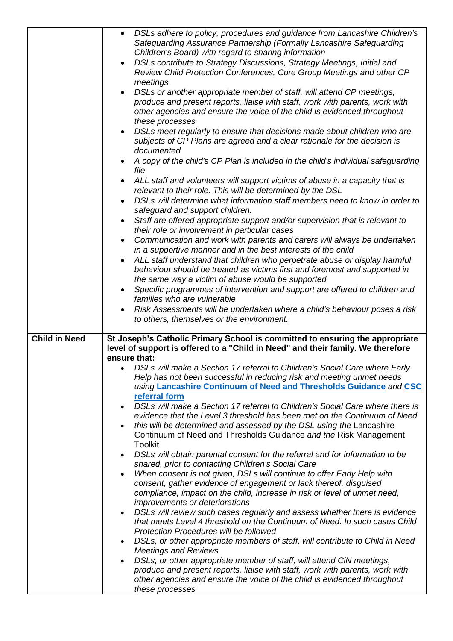|                      | DSLs adhere to policy, procedures and guidance from Lancashire Children's<br>$\bullet$<br>Safeguarding Assurance Partnership (Formally Lancashire Safeguarding<br>Children's Board) with regard to sharing information<br>DSLs contribute to Strategy Discussions, Strategy Meetings, Initial and<br>$\bullet$<br>Review Child Protection Conferences, Core Group Meetings and other CP<br>meetings<br>DSLs or another appropriate member of staff, will attend CP meetings,<br>produce and present reports, liaise with staff, work with parents, work with<br>other agencies and ensure the voice of the child is evidenced throughout<br>these processes<br>DSLs meet regularly to ensure that decisions made about children who are<br>subjects of CP Plans are agreed and a clear rationale for the decision is<br>documented<br>A copy of the child's CP Plan is included in the child's individual safeguarding<br>file<br>ALL staff and volunteers will support victims of abuse in a capacity that is<br>$\bullet$<br>relevant to their role. This will be determined by the DSL |
|----------------------|-------------------------------------------------------------------------------------------------------------------------------------------------------------------------------------------------------------------------------------------------------------------------------------------------------------------------------------------------------------------------------------------------------------------------------------------------------------------------------------------------------------------------------------------------------------------------------------------------------------------------------------------------------------------------------------------------------------------------------------------------------------------------------------------------------------------------------------------------------------------------------------------------------------------------------------------------------------------------------------------------------------------------------------------------------------------------------------------|
|                      | DSLs will determine what information staff members need to know in order to<br>safeguard and support children.                                                                                                                                                                                                                                                                                                                                                                                                                                                                                                                                                                                                                                                                                                                                                                                                                                                                                                                                                                            |
|                      | Staff are offered appropriate support and/or supervision that is relevant to<br>$\bullet$<br>their role or involvement in particular cases                                                                                                                                                                                                                                                                                                                                                                                                                                                                                                                                                                                                                                                                                                                                                                                                                                                                                                                                                |
|                      | Communication and work with parents and carers will always be undertaken<br>$\bullet$<br>in a supportive manner and in the best interests of the child                                                                                                                                                                                                                                                                                                                                                                                                                                                                                                                                                                                                                                                                                                                                                                                                                                                                                                                                    |
|                      | ALL staff understand that children who perpetrate abuse or display harmful<br>$\bullet$<br>behaviour should be treated as victims first and foremost and supported in<br>the same way a victim of abuse would be supported                                                                                                                                                                                                                                                                                                                                                                                                                                                                                                                                                                                                                                                                                                                                                                                                                                                                |
|                      | Specific programmes of intervention and support are offered to children and<br>$\bullet$<br>families who are vulnerable                                                                                                                                                                                                                                                                                                                                                                                                                                                                                                                                                                                                                                                                                                                                                                                                                                                                                                                                                                   |
|                      | Risk Assessments will be undertaken where a child's behaviour poses a risk<br>to others, themselves or the environment.                                                                                                                                                                                                                                                                                                                                                                                                                                                                                                                                                                                                                                                                                                                                                                                                                                                                                                                                                                   |
| <b>Child in Need</b> | St Joseph's Catholic Primary School is committed to ensuring the appropriate<br>level of support is offered to a "Child in Need" and their family. We therefore<br>ensure that:                                                                                                                                                                                                                                                                                                                                                                                                                                                                                                                                                                                                                                                                                                                                                                                                                                                                                                           |
|                      | • DSLs will make a Section 17 referral to Children's Social Care where Early<br>Help has not been successful in reducing risk and meeting unmet needs<br>using Lancashire Continuum of Need and Thresholds Guidance and CSC<br>referral form                                                                                                                                                                                                                                                                                                                                                                                                                                                                                                                                                                                                                                                                                                                                                                                                                                              |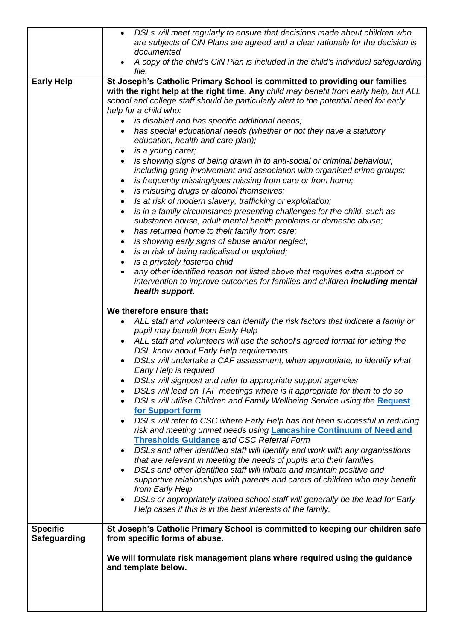|                     | DSLs will meet regularly to ensure that decisions made about children who<br>$\bullet$                                                                      |
|---------------------|-------------------------------------------------------------------------------------------------------------------------------------------------------------|
|                     | are subjects of CiN Plans are agreed and a clear rationale for the decision is                                                                              |
|                     | documented                                                                                                                                                  |
|                     | A copy of the child's CiN Plan is included in the child's individual safeguarding<br>file.                                                                  |
| <b>Early Help</b>   | St Joseph's Catholic Primary School is committed to providing our families                                                                                  |
|                     | with the right help at the right time. Any child may benefit from early help, but ALL                                                                       |
|                     | school and college staff should be particularly alert to the potential need for early                                                                       |
|                     | help for a child who:                                                                                                                                       |
|                     | is disabled and has specific additional needs;<br>$\bullet$                                                                                                 |
|                     | has special educational needs (whether or not they have a statutory                                                                                         |
|                     | education, health and care plan);<br>is a young carer;<br>$\bullet$                                                                                         |
|                     | is showing signs of being drawn in to anti-social or criminal behaviour,                                                                                    |
|                     | including gang involvement and association with organised crime groups;                                                                                     |
|                     | is frequently missing/goes missing from care or from home;                                                                                                  |
|                     | is misusing drugs or alcohol themselves;<br>$\bullet$                                                                                                       |
|                     | Is at risk of modern slavery, trafficking or exploitation;<br>$\bullet$                                                                                     |
|                     | is in a family circumstance presenting challenges for the child, such as<br>$\bullet$                                                                       |
|                     | substance abuse, adult mental health problems or domestic abuse;                                                                                            |
|                     | has returned home to their family from care;<br>$\bullet$                                                                                                   |
|                     | is showing early signs of abuse and/or neglect;<br>$\bullet$                                                                                                |
|                     | is at risk of being radicalised or exploited;<br>$\bullet$                                                                                                  |
|                     | is a privately fostered child                                                                                                                               |
|                     | any other identified reason not listed above that requires extra support or<br>intervention to improve outcomes for families and children including mental  |
|                     | health support.                                                                                                                                             |
|                     |                                                                                                                                                             |
|                     | We therefore ensure that:                                                                                                                                   |
|                     | ALL staff and volunteers can identify the risk factors that indicate a family or                                                                            |
|                     | pupil may benefit from Early Help                                                                                                                           |
|                     | ALL staff and volunteers will use the school's agreed format for letting the                                                                                |
|                     | DSL know about Early Help requirements                                                                                                                      |
|                     | DSLs will undertake a CAF assessment, when appropriate, to identify what<br>Early Help is required                                                          |
|                     | DSLs will signpost and refer to appropriate support agencies                                                                                                |
|                     | DSLs will lead on TAF meetings where is it appropriate for them to do so<br>$\bullet$                                                                       |
|                     | DSLs will utilise Children and Family Wellbeing Service using the Request                                                                                   |
|                     | for Support form                                                                                                                                            |
|                     | DSLs will refer to CSC where Early Help has not been successful in reducing<br>$\bullet$                                                                    |
|                     | risk and meeting unmet needs using <b>Lancashire Continuum of Need and</b>                                                                                  |
|                     | <b>Thresholds Guidance and CSC Referral Form</b>                                                                                                            |
|                     | DSLs and other identified staff will identify and work with any organisations                                                                               |
|                     | that are relevant in meeting the needs of pupils and their families<br>DSLs and other identified staff will initiate and maintain positive and<br>$\bullet$ |
|                     | supportive relationships with parents and carers of children who may benefit                                                                                |
|                     | from Early Help                                                                                                                                             |
|                     | DSLs or appropriately trained school staff will generally be the lead for Early<br>$\bullet$                                                                |
|                     | Help cases if this is in the best interests of the family.                                                                                                  |
|                     |                                                                                                                                                             |
| <b>Specific</b>     | St Joseph's Catholic Primary School is committed to keeping our children safe                                                                               |
| <b>Safeguarding</b> | from specific forms of abuse.                                                                                                                               |
|                     | We will formulate risk management plans where required using the guidance                                                                                   |
|                     | and template below.                                                                                                                                         |
|                     |                                                                                                                                                             |
|                     |                                                                                                                                                             |
|                     |                                                                                                                                                             |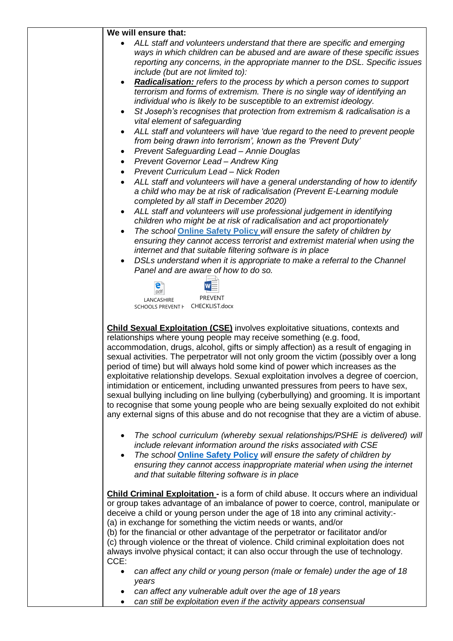| We will ensure that:                                                                                                                                                                                                                                                                                                                                                                                                                                                                                                                                                                                                                                                                                                                                                                                                                                                                        |
|---------------------------------------------------------------------------------------------------------------------------------------------------------------------------------------------------------------------------------------------------------------------------------------------------------------------------------------------------------------------------------------------------------------------------------------------------------------------------------------------------------------------------------------------------------------------------------------------------------------------------------------------------------------------------------------------------------------------------------------------------------------------------------------------------------------------------------------------------------------------------------------------|
| ALL staff and volunteers understand that there are specific and emerging<br>$\bullet$<br>ways in which children can be abused and are aware of these specific issues<br>reporting any concerns, in the appropriate manner to the DSL. Specific issues<br>include (but are not limited to):                                                                                                                                                                                                                                                                                                                                                                                                                                                                                                                                                                                                  |
| <b>Radicalisation:</b> refers to the process by which a person comes to support<br>$\bullet$<br>terrorism and forms of extremism. There is no single way of identifying an<br>individual who is likely to be susceptible to an extremist ideology.<br>St Joseph's recognises that protection from extremism & radicalisation is a<br>$\bullet$                                                                                                                                                                                                                                                                                                                                                                                                                                                                                                                                              |
| vital element of safeguarding<br>ALL staff and volunteers will have 'due regard to the need to prevent people<br>from being drawn into terrorism', known as the 'Prevent Duty'<br>Prevent Safeguarding Lead - Annie Douglas<br>$\bullet$                                                                                                                                                                                                                                                                                                                                                                                                                                                                                                                                                                                                                                                    |
| Prevent Governor Lead - Andrew King<br>$\bullet$<br>Prevent Curriculum Lead - Nick Roden<br>$\bullet$<br>ALL staff and volunteers will have a general understanding of how to identify<br>a child who may be at risk of radicalisation (Prevent E-Learning module                                                                                                                                                                                                                                                                                                                                                                                                                                                                                                                                                                                                                           |
| completed by all staff in December 2020)<br>ALL staff and volunteers will use professional judgement in identifying<br>$\bullet$<br>children who might be at risk of radicalisation and act proportionately<br>The school <b>Online Safety Policy</b> will ensure the safety of children by<br>$\bullet$<br>ensuring they cannot access terrorist and extremist material when using the<br>internet and that suitable filtering software is in place<br>DSLs understand when it is appropriate to make a referral to the Channel<br>$\bullet$<br>Panel and are aware of how to do so.                                                                                                                                                                                                                                                                                                       |
| e<br>W<br>pdf<br><b>PREVENT</b><br>LANCASHIRE<br>SCHOOLS PREVENT   CHECKLIST.docx                                                                                                                                                                                                                                                                                                                                                                                                                                                                                                                                                                                                                                                                                                                                                                                                           |
| <b>Child Sexual Exploitation (CSE)</b> involves exploitative situations, contexts and<br>relationships where young people may receive something (e.g. food,<br>accommodation, drugs, alcohol, gifts or simply affection) as a result of engaging in<br>sexual activities. The perpetrator will not only groom the victim (possibly over a long<br>period of time) but will always hold some kind of power which increases as the<br>exploitative relationship develops. Sexual exploitation involves a degree of coercion,<br>intimidation or enticement, including unwanted pressures from peers to have sex,<br>sexual bullying including on line bullying (cyberbullying) and grooming. It is important<br>to recognise that some young people who are being sexually exploited do not exhibit<br>any external signs of this abuse and do not recognise that they are a victim of abuse. |
| The school curriculum (whereby sexual relationships/PSHE is delivered) will<br>$\bullet$<br>include relevant information around the risks associated with CSE<br>The school <b>Online Safety Policy</b> will ensure the safety of children by<br>$\bullet$<br>ensuring they cannot access inappropriate material when using the internet<br>and that suitable filtering software is in place                                                                                                                                                                                                                                                                                                                                                                                                                                                                                                |
| <b>Child Criminal Exploitation - is a form of child abuse. It occurs where an individual</b><br>or group takes advantage of an imbalance of power to coerce, control, manipulate or<br>deceive a child or young person under the age of 18 into any criminal activity:-<br>(a) in exchange for something the victim needs or wants, and/or<br>(b) for the financial or other advantage of the perpetrator or facilitator and/or<br>(c) through violence or the threat of violence. Child criminal exploitation does not<br>always involve physical contact; it can also occur through the use of technology.<br>CCE:                                                                                                                                                                                                                                                                        |
| can affect any child or young person (male or female) under the age of 18<br>$\bullet$<br>years<br>can affect any vulnerable adult over the age of 18 years                                                                                                                                                                                                                                                                                                                                                                                                                                                                                                                                                                                                                                                                                                                                 |
| can still be exploitation even if the activity appears consensual                                                                                                                                                                                                                                                                                                                                                                                                                                                                                                                                                                                                                                                                                                                                                                                                                           |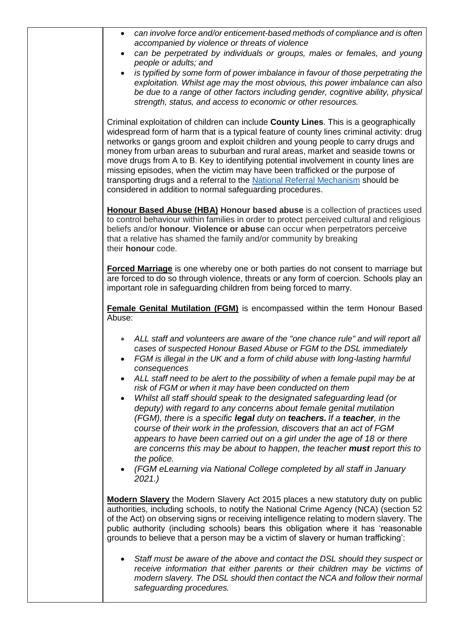| can involve force and/or enticement-based methods of compliance and is often<br>$\bullet$<br>accompanied by violence or threats of violence                                                                                                                                                                                                                                                                                                                                                                                                                                                                                                                                     |
|---------------------------------------------------------------------------------------------------------------------------------------------------------------------------------------------------------------------------------------------------------------------------------------------------------------------------------------------------------------------------------------------------------------------------------------------------------------------------------------------------------------------------------------------------------------------------------------------------------------------------------------------------------------------------------|
| can be perpetrated by individuals or groups, males or females, and young<br>$\bullet$<br>people or adults; and                                                                                                                                                                                                                                                                                                                                                                                                                                                                                                                                                                  |
| is typified by some form of power imbalance in favour of those perpetrating the<br>exploitation. Whilst age may the most obvious, this power imbalance can also<br>be due to a range of other factors including gender, cognitive ability, physical<br>strength, status, and access to economic or other resources.                                                                                                                                                                                                                                                                                                                                                             |
| Criminal exploitation of children can include County Lines. This is a geographically<br>widespread form of harm that is a typical feature of county lines criminal activity: drug<br>networks or gangs groom and exploit children and young people to carry drugs and<br>money from urban areas to suburban and rural areas, market and seaside towns or<br>move drugs from A to B. Key to identifying potential involvement in county lines are<br>missing episodes, when the victim may have been trafficked or the purpose of<br>transporting drugs and a referral to the National Referral Mechanism should be<br>considered in addition to normal safeguarding procedures. |
| Honour Based Abuse (HBA) Honour based abuse is a collection of practices used<br>to control behaviour within families in order to protect perceived cultural and religious<br>beliefs and/or honour. Violence or abuse can occur when perpetrators perceive<br>that a relative has shamed the family and/or community by breaking<br>their honour code.                                                                                                                                                                                                                                                                                                                         |
| Forced Marriage is one whereby one or both parties do not consent to marriage but<br>are forced to do so through violence, threats or any form of coercion. Schools play an<br>important role in safeguarding children from being forced to marry.                                                                                                                                                                                                                                                                                                                                                                                                                              |
| Female Genital Mutilation (FGM) is encompassed within the term Honour Based<br>Abuse:                                                                                                                                                                                                                                                                                                                                                                                                                                                                                                                                                                                           |
| ALL staff and volunteers are aware of the "one chance rule" and will report all<br>$\bullet$<br>cases of suspected Honour Based Abuse or FGM to the DSL immediately<br>FGM is illegal in the UK and a form of child abuse with long-lasting harmful<br>consequences                                                                                                                                                                                                                                                                                                                                                                                                             |
| ALL staff need to be alert to the possibility of when a female pupil may be at<br>risk of FGM or when it may have been conducted on them                                                                                                                                                                                                                                                                                                                                                                                                                                                                                                                                        |
| Whilst all staff should speak to the designated safeguarding lead (or<br>deputy) with regard to any concerns about female genital mutilation<br>(FGM), there is a specific legal duty on teachers. If a teacher, in the<br>course of their work in the profession, discovers that an act of FGM<br>appears to have been carried out on a girl under the age of 18 or there<br>are concerns this may be about to happen, the teacher must report this to                                                                                                                                                                                                                         |
| the police.<br>(FGM eLearning via National College completed by all staff in January<br>2021.                                                                                                                                                                                                                                                                                                                                                                                                                                                                                                                                                                                   |
| <b>Modern Slavery</b> the Modern Slavery Act 2015 places a new statutory duty on public<br>authorities, including schools, to notify the National Crime Agency (NCA) (section 52<br>of the Act) on observing signs or receiving intelligence relating to modern slavery. The<br>public authority (including schools) bears this obligation where it has 'reasonable<br>grounds to believe that a person may be a victim of slavery or human trafficking':                                                                                                                                                                                                                       |
| Staff must be aware of the above and contact the DSL should they suspect or<br>receive information that either parents or their children may be victims of<br>modern slavery. The DSL should then contact the NCA and follow their normal<br>safeguarding procedures.                                                                                                                                                                                                                                                                                                                                                                                                           |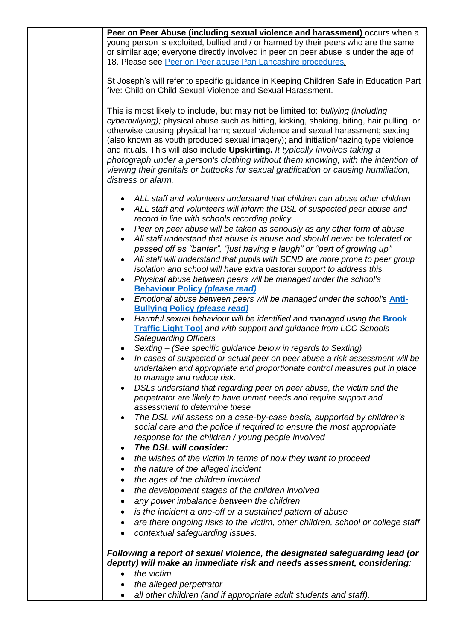| Peer on Peer Abuse (including sexual violence and harassment) occurs when a                                                                   |
|-----------------------------------------------------------------------------------------------------------------------------------------------|
| young person is exploited, bullied and / or harmed by their peers who are the same                                                            |
| or similar age; everyone directly involved in peer on peer abuse is under the age of                                                          |
| 18. Please see Peer on Peer abuse Pan Lancashire procedures.                                                                                  |
|                                                                                                                                               |
| St Joseph's will refer to specific guidance in Keeping Children Safe in Education Part                                                        |
| five: Child on Child Sexual Violence and Sexual Harassment.                                                                                   |
|                                                                                                                                               |
| This is most likely to include, but may not be limited to: bullying (including                                                                |
| cyberbullying); physical abuse such as hitting, kicking, shaking, biting, hair pulling, or                                                    |
| otherwise causing physical harm; sexual violence and sexual harassment; sexting                                                               |
| (also known as youth produced sexual imagery); and initiation/hazing type violence                                                            |
| and rituals. This will also include Upskirting. It typically involves taking a                                                                |
| photograph under a person's clothing without them knowing, with the intention of                                                              |
| viewing their genitals or buttocks for sexual gratification or causing humiliation,<br>distress or alarm.                                     |
|                                                                                                                                               |
| ALL staff and volunteers understand that children can abuse other children                                                                    |
| ALL staff and volunteers will inform the DSL of suspected peer abuse and<br>$\bullet$                                                         |
| record in line with schools recording policy                                                                                                  |
| Peer on peer abuse will be taken as seriously as any other form of abuse                                                                      |
| All staff understand that abuse is abuse and should never be tolerated or                                                                     |
| passed off as "banter", "just having a laugh" or "part of growing up"                                                                         |
| All staff will understand that pupils with SEND are more prone to peer group<br>$\bullet$                                                     |
| isolation and school will have extra pastoral support to address this.                                                                        |
| Physical abuse between peers will be managed under the school's                                                                               |
| <b>Behaviour Policy (please read)</b>                                                                                                         |
| Emotional abuse between peers will be managed under the school's <b>Anti-</b><br>$\bullet$                                                    |
| <b>Bullying Policy (please read)</b>                                                                                                          |
| Harmful sexual behaviour will be identified and managed using the <b>Brook</b><br>$\bullet$                                                   |
| Traffic Light Tool and with support and guidance from LCC Schools                                                                             |
| <b>Safeguarding Officers</b>                                                                                                                  |
| Sexting – (See specific guidance below in regards to Sexting)<br>In cases of suspected or actual peer on peer abuse a risk assessment will be |
| undertaken and appropriate and proportionate control measures put in place                                                                    |
| to manage and reduce risk.                                                                                                                    |
| DSLs understand that regarding peer on peer abuse, the victim and the                                                                         |
| perpetrator are likely to have unmet needs and require support and                                                                            |
| assessment to determine these                                                                                                                 |
| The DSL will assess on a case-by-case basis, supported by children's                                                                          |
| social care and the police if required to ensure the most appropriate                                                                         |
| response for the children / young people involved                                                                                             |
| The DSL will consider:                                                                                                                        |
| the wishes of the victim in terms of how they want to proceed                                                                                 |
| the nature of the alleged incident                                                                                                            |
| the ages of the children involved                                                                                                             |
| the development stages of the children involved                                                                                               |
| any power imbalance between the children                                                                                                      |
| is the incident a one-off or a sustained pattern of abuse                                                                                     |
| are there ongoing risks to the victim, other children, school or college staff                                                                |
| contextual safeguarding issues.                                                                                                               |
|                                                                                                                                               |
| Following a report of sexual violence, the designated safeguarding lead (or                                                                   |
| deputy) will make an immediate risk and needs assessment, considering:                                                                        |
| the victim                                                                                                                                    |
| the alleged perpetrator                                                                                                                       |
| all other children (and if appropriate adult students and staff).                                                                             |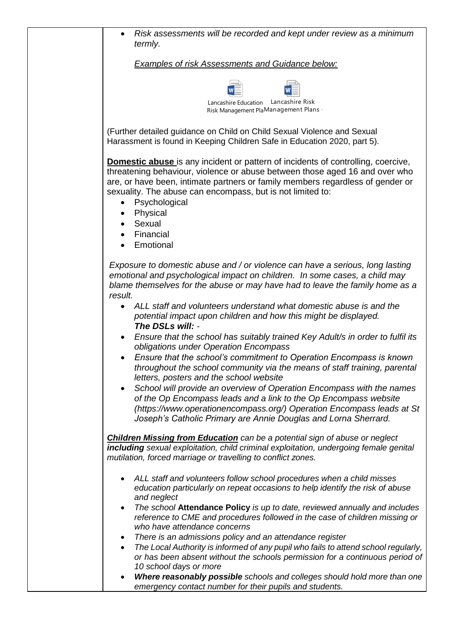| Risk assessments will be recorded and kept under review as a minimum<br>termly.                                                                                                                                                                                                                                                                                  |
|------------------------------------------------------------------------------------------------------------------------------------------------------------------------------------------------------------------------------------------------------------------------------------------------------------------------------------------------------------------|
| Examples of risk Assessments and Guidance below:                                                                                                                                                                                                                                                                                                                 |
|                                                                                                                                                                                                                                                                                                                                                                  |
| Lancashire Education<br>Lancashire Risk<br>Risk Management PlaManagement Plans                                                                                                                                                                                                                                                                                   |
| (Further detailed guidance on Child on Child Sexual Violence and Sexual<br>Harassment is found in Keeping Children Safe in Education 2020, part 5).                                                                                                                                                                                                              |
| <b>Domestic abuse</b> is any incident or pattern of incidents of controlling, coercive,<br>threatening behaviour, violence or abuse between those aged 16 and over who<br>are, or have been, intimate partners or family members regardless of gender or<br>sexuality. The abuse can encompass, but is not limited to:<br>Psychological<br>Physical<br>$\bullet$ |
| Sexual<br>Financial<br>Emotional                                                                                                                                                                                                                                                                                                                                 |
| Exposure to domestic abuse and / or violence can have a serious, long lasting<br>emotional and psychological impact on children. In some cases, a child may<br>blame themselves for the abuse or may have had to leave the family home as a<br>result.                                                                                                           |
| ALL staff and volunteers understand what domestic abuse is and the<br>potential impact upon children and how this might be displayed.<br>The DSLs will: -                                                                                                                                                                                                        |
| Ensure that the school has suitably trained Key Adult/s in order to fulfil its<br>obligations under Operation Encompass                                                                                                                                                                                                                                          |
| Ensure that the school's commitment to Operation Encompass is known<br>throughout the school community via the means of staff training, parental<br>letters, posters and the school website                                                                                                                                                                      |
| School will provide an overview of Operation Encompass with the names<br>of the Op Encompass leads and a link to the Op Encompass website<br>(https://www.operationencompass.org/) Operation Encompass leads at St<br>Joseph's Catholic Primary are Annie Douglas and Lorna Sherrard.                                                                            |
| <b>Children Missing from Education</b> can be a potential sign of abuse or neglect<br>including sexual exploitation, child criminal exploitation, undergoing female genital<br>mutilation, forced marriage or travelling to conflict zones.                                                                                                                      |
| ALL staff and volunteers follow school procedures when a child misses<br>٠<br>education particularly on repeat occasions to help identify the risk of abuse                                                                                                                                                                                                      |
| and neglect<br>The school Attendance Policy is up to date, reviewed annually and includes<br>$\bullet$<br>reference to CME and procedures followed in the case of children missing or<br>who have attendance concerns                                                                                                                                            |
| There is an admissions policy and an attendance register<br>$\bullet$                                                                                                                                                                                                                                                                                            |
| The Local Authority is informed of any pupil who fails to attend school regularly,<br>$\bullet$                                                                                                                                                                                                                                                                  |
| or has been absent without the schools permission for a continuous period of                                                                                                                                                                                                                                                                                     |
| 10 school days or more<br>Where reasonably possible schools and colleges should hold more than one                                                                                                                                                                                                                                                               |
| emergency contact number for their pupils and students.                                                                                                                                                                                                                                                                                                          |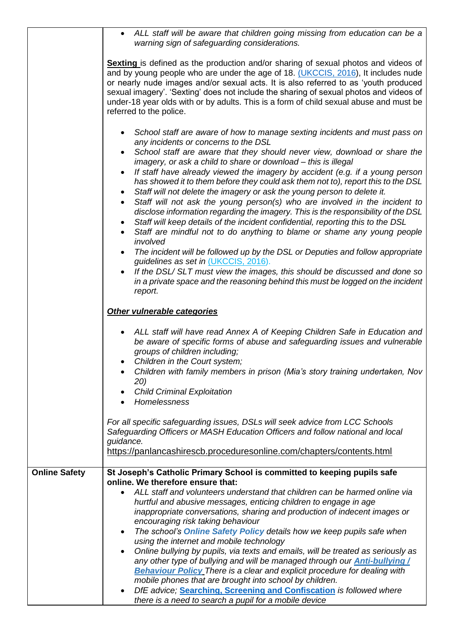|                      | ALL staff will be aware that children going missing from education can be a<br>$\bullet$<br>warning sign of safeguarding considerations.                                                                                                                                                                                                                                                                                                                                                                                                                                                                                                                                                                                                                                                                                                                                                                                                    |  |
|----------------------|---------------------------------------------------------------------------------------------------------------------------------------------------------------------------------------------------------------------------------------------------------------------------------------------------------------------------------------------------------------------------------------------------------------------------------------------------------------------------------------------------------------------------------------------------------------------------------------------------------------------------------------------------------------------------------------------------------------------------------------------------------------------------------------------------------------------------------------------------------------------------------------------------------------------------------------------|--|
|                      | <b>Sexting</b> is defined as the production and/or sharing of sexual photos and videos of<br>and by young people who are under the age of 18. (UKCCIS, 2016), It includes nude<br>or nearly nude images and/or sexual acts. It is also referred to as 'youth produced<br>sexual imagery'. 'Sexting' does not include the sharing of sexual photos and videos of<br>under-18 year olds with or by adults. This is a form of child sexual abuse and must be<br>referred to the police.                                                                                                                                                                                                                                                                                                                                                                                                                                                        |  |
|                      | School staff are aware of how to manage sexting incidents and must pass on<br>any incidents or concerns to the DSL<br>School staff are aware that they should never view, download or share the<br>$\bullet$<br>imagery, or ask a child to share or download - this is illegal<br>If staff have already viewed the imagery by accident (e.g. if a young person<br>$\bullet$<br>has showed it to them before they could ask them not to), report this to the DSL<br>Staff will not delete the imagery or ask the young person to delete it.<br>$\bullet$<br>Staff will not ask the young person(s) who are involved in the incident to<br>$\bullet$<br>disclose information regarding the imagery. This is the responsibility of the DSL<br>Staff will keep details of the incident confidential, reporting this to the DSL<br>$\bullet$<br>Staff are mindful not to do anything to blame or shame any young people<br>$\bullet$<br>involved |  |
|                      | The incident will be followed up by the DSL or Deputies and follow appropriate<br>$\bullet$<br>guidelines as set in (UKCCIS, 2016).<br>If the DSL/SLT must view the images, this should be discussed and done so<br>$\bullet$<br>in a private space and the reasoning behind this must be logged on the incident<br>report.                                                                                                                                                                                                                                                                                                                                                                                                                                                                                                                                                                                                                 |  |
|                      | Other vulnerable categories                                                                                                                                                                                                                                                                                                                                                                                                                                                                                                                                                                                                                                                                                                                                                                                                                                                                                                                 |  |
|                      | ALL staff will have read Annex A of Keeping Children Safe in Education and<br>be aware of specific forms of abuse and safeguarding issues and vulnerable<br>groups of children including;<br>Children in the Court system;<br>Children with family members in prison (Mia's story training undertaken, Nov<br>20)                                                                                                                                                                                                                                                                                                                                                                                                                                                                                                                                                                                                                           |  |
|                      | <b>Child Criminal Exploitation</b><br>Homelessness                                                                                                                                                                                                                                                                                                                                                                                                                                                                                                                                                                                                                                                                                                                                                                                                                                                                                          |  |
|                      | For all specific safeguarding issues, DSLs will seek advice from LCC Schools<br>Safeguarding Officers or MASH Education Officers and follow national and local<br>guidance.<br>https://panlancashirescb.proceduresonline.com/chapters/contents.html                                                                                                                                                                                                                                                                                                                                                                                                                                                                                                                                                                                                                                                                                         |  |
| <b>Online Safety</b> | St Joseph's Catholic Primary School is committed to keeping pupils safe                                                                                                                                                                                                                                                                                                                                                                                                                                                                                                                                                                                                                                                                                                                                                                                                                                                                     |  |
|                      | online. We therefore ensure that:<br>ALL staff and volunteers understand that children can be harmed online via<br>$\bullet$<br>hurtful and abusive messages, enticing children to engage in age<br>inappropriate conversations, sharing and production of indecent images or<br>encouraging risk taking behaviour<br>The school's <b>Online Safety Policy</b> details how we keep pupils safe when<br>$\bullet$<br>using the internet and mobile technology<br>Online bullying by pupils, via texts and emails, will be treated as seriously as<br>$\bullet$<br>any other type of bullying and will be managed through our <b>Anti-bullying/</b><br><b>Behaviour Policy</b> There is a clear and explicit procedure for dealing with<br>mobile phones that are brought into school by children.<br>DfE advice; Searching, Screening and Confiscation is followed where<br>$\bullet$                                                        |  |
|                      | there is a need to search a pupil for a mobile device                                                                                                                                                                                                                                                                                                                                                                                                                                                                                                                                                                                                                                                                                                                                                                                                                                                                                       |  |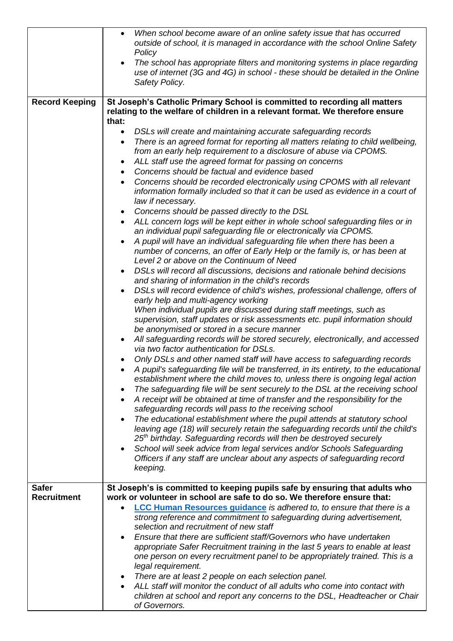|                       | When school become aware of an online safety issue that has occurred<br>$\bullet$<br>outside of school, it is managed in accordance with the school Online Safety<br>Policy                                                                                   |  |  |
|-----------------------|---------------------------------------------------------------------------------------------------------------------------------------------------------------------------------------------------------------------------------------------------------------|--|--|
|                       | The school has appropriate filters and monitoring systems in place regarding<br>$\bullet$<br>use of internet (3G and 4G) in school - these should be detailed in the Online<br>Safety Policy.                                                                 |  |  |
| <b>Record Keeping</b> | St Joseph's Catholic Primary School is committed to recording all matters<br>relating to the welfare of children in a relevant format. We therefore ensure<br>that:                                                                                           |  |  |
|                       | DSLs will create and maintaining accurate safeguarding records<br>$\bullet$                                                                                                                                                                                   |  |  |
|                       | There is an agreed format for reporting all matters relating to child wellbeing,<br>$\bullet$<br>from an early help requirement to a disclosure of abuse via CPOMS.                                                                                           |  |  |
|                       | ALL staff use the agreed format for passing on concerns                                                                                                                                                                                                       |  |  |
|                       | Concerns should be factual and evidence based<br>$\bullet$                                                                                                                                                                                                    |  |  |
|                       | Concerns should be recorded electronically using CPOMS with all relevant<br>$\bullet$<br>information formally included so that it can be used as evidence in a court of<br>law if necessary.                                                                  |  |  |
|                       | Concerns should be passed directly to the DSL<br>$\bullet$                                                                                                                                                                                                    |  |  |
|                       | ALL concern logs will be kept either in whole school safeguarding files or in<br>$\bullet$<br>an individual pupil safeguarding file or electronically via CPOMS.                                                                                              |  |  |
|                       | A pupil will have an individual safeguarding file when there has been a<br>$\bullet$<br>number of concerns, an offer of Early Help or the family is, or has been at<br>Level 2 or above on the Continuum of Need                                              |  |  |
|                       | DSLs will record all discussions, decisions and rationale behind decisions<br>$\bullet$<br>and sharing of information in the child's records                                                                                                                  |  |  |
|                       | DSLs will record evidence of child's wishes, professional challenge, offers of<br>early help and multi-agency working                                                                                                                                         |  |  |
|                       | When individual pupils are discussed during staff meetings, such as<br>supervision, staff updates or risk assessments etc. pupil information should<br>be anonymised or stored in a secure manner                                                             |  |  |
|                       | All safeguarding records will be stored securely, electronically, and accessed<br>via two factor authentication for DSLs.                                                                                                                                     |  |  |
|                       | Only DSLs and other named staff will have access to safeguarding records<br>A pupil's safeguarding file will be transferred, in its entirety, to the educational                                                                                              |  |  |
|                       | establishment where the child moves to, unless there is ongoing legal action<br>The safeguarding file will be sent securely to the DSL at the receiving school<br>$\bullet$                                                                                   |  |  |
|                       | A receipt will be obtained at time of transfer and the responsibility for the<br>safeguarding records will pass to the receiving school                                                                                                                       |  |  |
|                       | The educational establishment where the pupil attends at statutory school<br>$\bullet$<br>leaving age (18) will securely retain the safeguarding records until the child's<br>25 <sup>th</sup> birthday. Safeguarding records will then be destroyed securely |  |  |
|                       | School will seek advice from legal services and/or Schools Safeguarding<br>$\bullet$<br>Officers if any staff are unclear about any aspects of safeguarding record<br>keeping.                                                                                |  |  |
| <b>Safer</b>          |                                                                                                                                                                                                                                                               |  |  |
| <b>Recruitment</b>    | St Joseph's is committed to keeping pupils safe by ensuring that adults who<br>work or volunteer in school are safe to do so. We therefore ensure that:                                                                                                       |  |  |
|                       |                                                                                                                                                                                                                                                               |  |  |
|                       | <b>LCC Human Resources guidance</b> is adhered to, to ensure that there is a<br>strong reference and commitment to safeguarding during advertisement,<br>selection and recruitment of new staff                                                               |  |  |
|                       | Ensure that there are sufficient staff/Governors who have undertaken                                                                                                                                                                                          |  |  |
|                       | appropriate Safer Recruitment training in the last 5 years to enable at least                                                                                                                                                                                 |  |  |
|                       | one person on every recruitment panel to be appropriately trained. This is a<br>legal requirement.                                                                                                                                                            |  |  |
|                       | There are at least 2 people on each selection panel.<br>$\bullet$                                                                                                                                                                                             |  |  |
|                       | ALL staff will monitor the conduct of all adults who come into contact with                                                                                                                                                                                   |  |  |
|                       | children at school and report any concerns to the DSL, Headteacher or Chair<br>of Governors.                                                                                                                                                                  |  |  |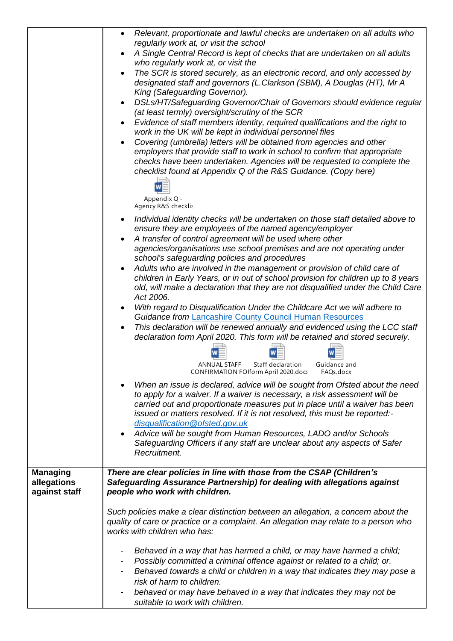|                 | Relevant, proportionate and lawful checks are undertaken on all adults who<br>$\bullet$                                                                     |  |
|-----------------|-------------------------------------------------------------------------------------------------------------------------------------------------------------|--|
|                 | regularly work at, or visit the school                                                                                                                      |  |
|                 | A Single Central Record is kept of checks that are undertaken on all adults                                                                                 |  |
|                 | who regularly work at, or visit the<br>The SCR is stored securely, as an electronic record, and only accessed by                                            |  |
|                 | designated staff and governors (L.Clarkson (SBM), A Douglas (HT), Mr A                                                                                      |  |
|                 | King (Safeguarding Governor).                                                                                                                               |  |
|                 | DSLs/HT/Safeguarding Governor/Chair of Governors should evidence regular<br>(at least termly) oversight/scrutiny of the SCR                                 |  |
|                 | Evidence of staff members identity, required qualifications and the right to                                                                                |  |
|                 | work in the UK will be kept in individual personnel files                                                                                                   |  |
|                 | Covering (umbrella) letters will be obtained from agencies and other                                                                                        |  |
|                 | employers that provide staff to work in school to confirm that appropriate<br>checks have been undertaken. Agencies will be requested to complete the       |  |
|                 | checklist found at Appendix Q of the R&S Guidance. (Copy here)                                                                                              |  |
|                 |                                                                                                                                                             |  |
|                 | Appendix Q -                                                                                                                                                |  |
|                 | Agency R&S checklis                                                                                                                                         |  |
|                 | Individual identity checks will be undertaken on those staff detailed above to                                                                              |  |
|                 | ensure they are employees of the named agency/employer                                                                                                      |  |
|                 | A transfer of control agreement will be used where other<br>agencies/organisations use school premises and are not operating under                          |  |
|                 | school's safeguarding policies and procedures                                                                                                               |  |
|                 | Adults who are involved in the management or provision of child care of                                                                                     |  |
|                 | children in Early Years, or in out of school provision for children up to 8 years                                                                           |  |
|                 | old, will make a declaration that they are not disqualified under the Child Care<br>Act 2006.                                                               |  |
|                 | With regard to Disqualification Under the Childcare Act we will adhere to                                                                                   |  |
|                 | <b>Guidance from Lancashire County Council Human Resources</b>                                                                                              |  |
|                 | This declaration will be renewed annually and evidenced using the LCC staff<br>declaration form April 2020. This form will be retained and stored securely. |  |
|                 |                                                                                                                                                             |  |
|                 | <b>ANNUAL STAFF</b><br>Staff declaration<br>Guidance and                                                                                                    |  |
|                 | CONFIRMATION FOIform April 2020.doc><br>FAQs.docx                                                                                                           |  |
|                 | When an issue is declared, advice will be sought from Ofsted about the need                                                                                 |  |
|                 | to apply for a waiver. If a waiver is necessary, a risk assessment will be<br>carried out and proportionate measures put in place until a waiver has been   |  |
|                 | issued or matters resolved. If it is not resolved, this must be reported:-                                                                                  |  |
|                 | disqualification@ofsted.gov.uk                                                                                                                              |  |
|                 | Advice will be sought from Human Resources, LADO and/or Schools                                                                                             |  |
|                 | Safeguarding Officers if any staff are unclear about any aspects of Safer                                                                                   |  |
|                 | Recruitment.                                                                                                                                                |  |
| <b>Managing</b> | There are clear policies in line with those from the CSAP (Children's                                                                                       |  |
| allegations     | Safeguarding Assurance Partnership) for dealing with allegations against                                                                                    |  |
| against staff   | people who work with children.                                                                                                                              |  |
|                 | Such policies make a clear distinction between an allegation, a concern about the                                                                           |  |
|                 | quality of care or practice or a complaint. An allegation may relate to a person who<br>works with children who has:                                        |  |
|                 |                                                                                                                                                             |  |
|                 | Behaved in a way that has harmed a child, or may have harmed a child;                                                                                       |  |
|                 | Possibly committed a criminal offence against or related to a child; or.                                                                                    |  |
|                 | Behaved towards a child or children in a way that indicates they may pose a                                                                                 |  |
|                 | risk of harm to children.                                                                                                                                   |  |
|                 | behaved or may have behaved in a way that indicates they may not be                                                                                         |  |
|                 | suitable to work with children.                                                                                                                             |  |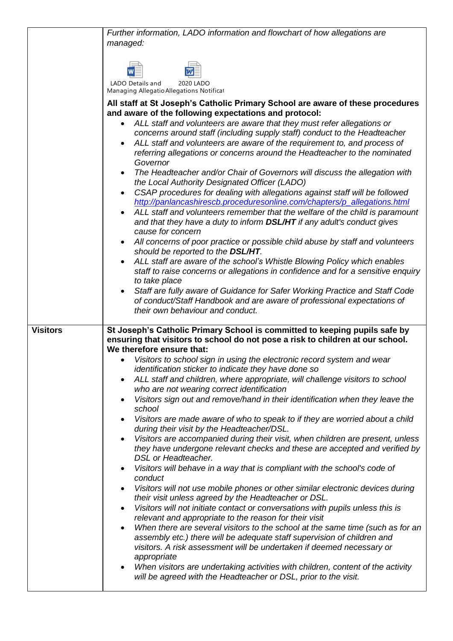|                 | Further information, LADO information and flowchart of how allegations are<br>managed:                                                                                                                                                                                                                                                |  |
|-----------------|---------------------------------------------------------------------------------------------------------------------------------------------------------------------------------------------------------------------------------------------------------------------------------------------------------------------------------------|--|
|                 |                                                                                                                                                                                                                                                                                                                                       |  |
|                 | LADO Details and<br>2020 LADO<br>Managing Allegatio Allegations Notificat                                                                                                                                                                                                                                                             |  |
|                 | All staff at St Joseph's Catholic Primary School are aware of these procedures<br>and aware of the following expectations and protocol:                                                                                                                                                                                               |  |
|                 | ALL staff and volunteers are aware that they must refer allegations or<br>concerns around staff (including supply staff) conduct to the Headteacher<br>ALL staff and volunteers are aware of the requirement to, and process of<br>$\bullet$<br>referring allegations or concerns around the Headteacher to the nominated<br>Governor |  |
|                 | The Headteacher and/or Chair of Governors will discuss the allegation with<br>the Local Authority Designated Officer (LADO)                                                                                                                                                                                                           |  |
|                 | CSAP procedures for dealing with allegations against staff will be followed<br>$\bullet$<br>http://panlancashirescb.proceduresonline.com/chapters/p_allegations.html                                                                                                                                                                  |  |
|                 | ALL staff and volunteers remember that the welfare of the child is paramount<br>and that they have a duty to inform DSL/HT if any adult's conduct gives<br>cause for concern                                                                                                                                                          |  |
|                 | All concerns of poor practice or possible child abuse by staff and volunteers<br>should be reported to the DSL/HT.                                                                                                                                                                                                                    |  |
|                 | ALL staff are aware of the school's Whistle Blowing Policy which enables<br>staff to raise concerns or allegations in confidence and for a sensitive enquiry<br>to take place                                                                                                                                                         |  |
|                 | Staff are fully aware of Guidance for Safer Working Practice and Staff Code<br>of conduct/Staff Handbook and are aware of professional expectations of<br>their own behaviour and conduct.                                                                                                                                            |  |
| <b>Visitors</b> | St Joseph's Catholic Primary School is committed to keeping pupils safe by<br>ensuring that visitors to school do not pose a risk to children at our school.<br>We therefore ensure that:                                                                                                                                             |  |
|                 | Visitors to school sign in using the electronic record system and wear<br>identification sticker to indicate they have done so                                                                                                                                                                                                        |  |
|                 | ALL staff and children, where appropriate, will challenge visitors to school<br>$\bullet$<br>who are not wearing correct identification                                                                                                                                                                                               |  |
|                 | Visitors sign out and remove/hand in their identification when they leave the<br>$\bullet$<br>school                                                                                                                                                                                                                                  |  |
|                 | Visitors are made aware of who to speak to if they are worried about a child<br>during their visit by the Headteacher/DSL.                                                                                                                                                                                                            |  |
|                 | Visitors are accompanied during their visit, when children are present, unless<br>$\bullet$<br>they have undergone relevant checks and these are accepted and verified by<br>DSL or Headteacher.                                                                                                                                      |  |
|                 | Visitors will behave in a way that is compliant with the school's code of<br>$\bullet$<br>conduct                                                                                                                                                                                                                                     |  |
|                 | Visitors will not use mobile phones or other similar electronic devices during<br>their visit unless agreed by the Headteacher or DSL.                                                                                                                                                                                                |  |
|                 | Visitors will not initiate contact or conversations with pupils unless this is<br>$\bullet$<br>relevant and appropriate to the reason for their visit<br>When there are several visitors to the school at the same time (such as for an<br>$\bullet$                                                                                  |  |
|                 | assembly etc.) there will be adequate staff supervision of children and<br>visitors. A risk assessment will be undertaken if deemed necessary or<br>appropriate                                                                                                                                                                       |  |
|                 | When visitors are undertaking activities with children, content of the activity<br>٠<br>will be agreed with the Headteacher or DSL, prior to the visit.                                                                                                                                                                               |  |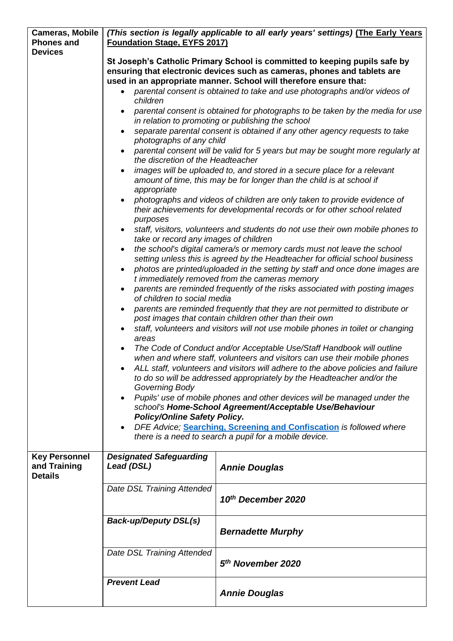| <b>Cameras, Mobile</b>         | (This section is legally applicable to all early years' settings) (The Early Years                                                                                                                                                                                                                                 |                                                                                                                                                    |  |
|--------------------------------|--------------------------------------------------------------------------------------------------------------------------------------------------------------------------------------------------------------------------------------------------------------------------------------------------------------------|----------------------------------------------------------------------------------------------------------------------------------------------------|--|
| <b>Phones and</b>              | <b>Foundation Stage, EYFS 2017)</b>                                                                                                                                                                                                                                                                                |                                                                                                                                                    |  |
| <b>Devices</b>                 |                                                                                                                                                                                                                                                                                                                    |                                                                                                                                                    |  |
|                                | St Joseph's Catholic Primary School is committed to keeping pupils safe by                                                                                                                                                                                                                                         |                                                                                                                                                    |  |
|                                | ensuring that electronic devices such as cameras, phones and tablets are                                                                                                                                                                                                                                           |                                                                                                                                                    |  |
|                                | used in an appropriate manner. School will therefore ensure that:<br>parental consent is obtained to take and use photographs and/or videos of                                                                                                                                                                     |                                                                                                                                                    |  |
|                                | children                                                                                                                                                                                                                                                                                                           |                                                                                                                                                    |  |
|                                |                                                                                                                                                                                                                                                                                                                    |                                                                                                                                                    |  |
|                                | parental consent is obtained for photographs to be taken by the media for use<br>in relation to promoting or publishing the school                                                                                                                                                                                 |                                                                                                                                                    |  |
|                                |                                                                                                                                                                                                                                                                                                                    | separate parental consent is obtained if any other agency requests to take                                                                         |  |
|                                | photographs of any child                                                                                                                                                                                                                                                                                           |                                                                                                                                                    |  |
|                                | the discretion of the Headteacher                                                                                                                                                                                                                                                                                  | parental consent will be valid for 5 years but may be sought more regularly at                                                                     |  |
|                                | $\bullet$                                                                                                                                                                                                                                                                                                          | images will be uploaded to, and stored in a secure place for a relevant                                                                            |  |
|                                | appropriate                                                                                                                                                                                                                                                                                                        | amount of time, this may be for longer than the child is at school if                                                                              |  |
|                                |                                                                                                                                                                                                                                                                                                                    | photographs and videos of children are only taken to provide evidence of                                                                           |  |
|                                | purposes                                                                                                                                                                                                                                                                                                           | their achievements for developmental records or for other school related                                                                           |  |
|                                | staff, visitors, volunteers and students do not use their own mobile phones to                                                                                                                                                                                                                                     |                                                                                                                                                    |  |
|                                | take or record any images of children<br>$\bullet$                                                                                                                                                                                                                                                                 | the school's digital camera/s or memory cards must not leave the school                                                                            |  |
|                                |                                                                                                                                                                                                                                                                                                                    | setting unless this is agreed by the Headteacher for official school business                                                                      |  |
|                                | $\bullet$                                                                                                                                                                                                                                                                                                          | photos are printed/uploaded in the setting by staff and once done images are                                                                       |  |
|                                | t immediately removed from the cameras memory<br>parents are reminded frequently of the risks associated with posting images<br>$\bullet$<br>of children to social media<br>parents are reminded frequently that they are not permitted to distribute or<br>post images that contain children other than their own |                                                                                                                                                    |  |
|                                |                                                                                                                                                                                                                                                                                                                    |                                                                                                                                                    |  |
|                                |                                                                                                                                                                                                                                                                                                                    |                                                                                                                                                    |  |
|                                |                                                                                                                                                                                                                                                                                                                    | staff, volunteers and visitors will not use mobile phones in toilet or changing                                                                    |  |
|                                | areas                                                                                                                                                                                                                                                                                                              |                                                                                                                                                    |  |
|                                | $\bullet$                                                                                                                                                                                                                                                                                                          | The Code of Conduct and/or Acceptable Use/Staff Handbook will outline<br>when and where staff, volunteers and visitors can use their mobile phones |  |
|                                |                                                                                                                                                                                                                                                                                                                    | ALL staff, volunteers and visitors will adhere to the above policies and failure                                                                   |  |
|                                | Governing Body                                                                                                                                                                                                                                                                                                     | to do so will be addressed appropriately by the Headteacher and/or the                                                                             |  |
|                                |                                                                                                                                                                                                                                                                                                                    | Pupils' use of mobile phones and other devices will be managed under the                                                                           |  |
|                                |                                                                                                                                                                                                                                                                                                                    | school's Home-School Agreement/Acceptable Use/Behaviour                                                                                            |  |
|                                | <b>Policy/Online Safety Policy.</b>                                                                                                                                                                                                                                                                                |                                                                                                                                                    |  |
|                                |                                                                                                                                                                                                                                                                                                                    | DFE Advice; Searching, Screening and Confiscation is followed where                                                                                |  |
|                                |                                                                                                                                                                                                                                                                                                                    | there is a need to search a pupil for a mobile device.                                                                                             |  |
| <b>Key Personnel</b>           | <b>Designated Safeguarding</b>                                                                                                                                                                                                                                                                                     |                                                                                                                                                    |  |
| and Training<br><b>Details</b> | Lead (DSL)                                                                                                                                                                                                                                                                                                         | <b>Annie Douglas</b>                                                                                                                               |  |
|                                |                                                                                                                                                                                                                                                                                                                    |                                                                                                                                                    |  |
|                                | Date DSL Training Attended                                                                                                                                                                                                                                                                                         | 10th December 2020                                                                                                                                 |  |
|                                |                                                                                                                                                                                                                                                                                                                    |                                                                                                                                                    |  |
|                                | <b>Back-up/Deputy DSL(s)</b>                                                                                                                                                                                                                                                                                       |                                                                                                                                                    |  |
|                                |                                                                                                                                                                                                                                                                                                                    | <b>Bernadette Murphy</b>                                                                                                                           |  |
|                                | Date DSL Training Attended                                                                                                                                                                                                                                                                                         |                                                                                                                                                    |  |
|                                |                                                                                                                                                                                                                                                                                                                    | 5 <sup>th</sup> November 2020                                                                                                                      |  |
|                                | <b>Prevent Lead</b>                                                                                                                                                                                                                                                                                                |                                                                                                                                                    |  |
|                                |                                                                                                                                                                                                                                                                                                                    | <b>Annie Douglas</b>                                                                                                                               |  |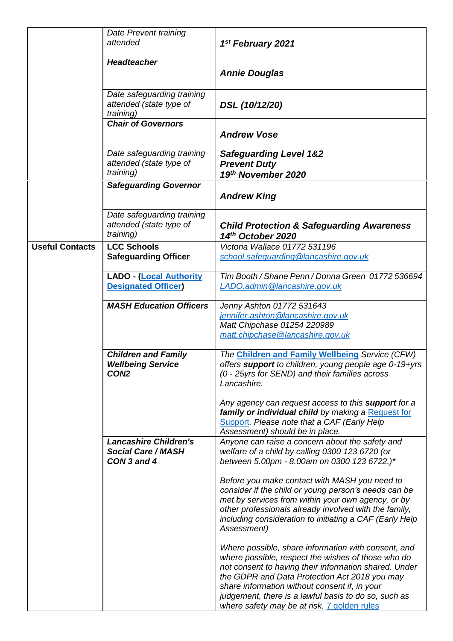|                        | Date Prevent training                                                      |                                                                                                                                                                                                                                                                                                                                                                             |
|------------------------|----------------------------------------------------------------------------|-----------------------------------------------------------------------------------------------------------------------------------------------------------------------------------------------------------------------------------------------------------------------------------------------------------------------------------------------------------------------------|
|                        | attended                                                                   | 1st February 2021                                                                                                                                                                                                                                                                                                                                                           |
|                        | <b>Headteacher</b>                                                         | <b>Annie Douglas</b>                                                                                                                                                                                                                                                                                                                                                        |
|                        | Date safeguarding training<br>attended (state type of<br>training)         | DSL (10/12/20)                                                                                                                                                                                                                                                                                                                                                              |
|                        | <b>Chair of Governors</b>                                                  | <b>Andrew Vose</b>                                                                                                                                                                                                                                                                                                                                                          |
|                        | Date safeguarding training<br>attended (state type of<br>training)         | <b>Safeguarding Level 1&amp;2</b><br><b>Prevent Duty</b><br>19th November 2020                                                                                                                                                                                                                                                                                              |
|                        | <b>Safeguarding Governor</b>                                               | <b>Andrew King</b>                                                                                                                                                                                                                                                                                                                                                          |
|                        | Date safeguarding training<br>attended (state type of<br>training)         | <b>Child Protection &amp; Safeguarding Awareness</b><br>14th October 2020                                                                                                                                                                                                                                                                                                   |
| <b>Useful Contacts</b> | <b>LCC Schools</b><br><b>Safeguarding Officer</b>                          | Victoria Wallace 01772 531196<br>school.safeguarding@lancashire.gov.uk                                                                                                                                                                                                                                                                                                      |
|                        | <b>LADO - (Local Authority</b><br><b>Designated Officer</b>                | Tim Booth / Shane Penn / Donna Green 01772 536694<br>LADO.admin@lancashire.gov.uk                                                                                                                                                                                                                                                                                           |
|                        | <b>MASH Education Officers</b>                                             | Jenny Ashton 01772 531643<br>jennifer.ashton@lancashire.gov.uk<br>Matt Chipchase 01254 220989<br>matt.chipchase@lancashire.gov.uk                                                                                                                                                                                                                                           |
|                        | <b>Children and Family</b><br><b>Wellbeing Service</b><br>CON <sub>2</sub> | The Children and Family Wellbeing Service (CFW)<br>offers support to children, young people age 0-19+yrs<br>(0 - 25yrs for SEND) and their families across<br>Lancashire.                                                                                                                                                                                                   |
|                        |                                                                            | Any agency can request access to this <b>support</b> for a<br>family or individual child by making a Request for<br>Support. Please note that a CAF (Early Help<br>Assessment) should be in place.                                                                                                                                                                          |
|                        | <b>Lancashire Children's</b><br><b>Social Care / MASH</b><br>CON 3 and 4   | Anyone can raise a concern about the safety and<br>welfare of a child by calling 0300 123 6720 (or<br>between 5.00pm - 8.00am on 0300 123 6722.)*                                                                                                                                                                                                                           |
|                        |                                                                            | Before you make contact with MASH you need to<br>consider if the child or young person's needs can be<br>met by services from within your own agency, or by<br>other professionals already involved with the family,<br>including consideration to initiating a CAF (Early Help<br>Assessment)                                                                              |
|                        |                                                                            | Where possible, share information with consent, and<br>where possible, respect the wishes of those who do<br>not consent to having their information shared. Under<br>the GDPR and Data Protection Act 2018 you may<br>share information without consent if, in your<br>judgement, there is a lawful basis to do so, such as<br>where safety may be at risk. 7 golden rules |